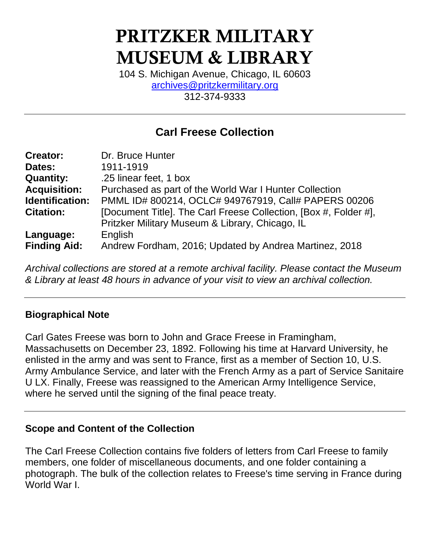# **PRITZKER MILITARY MUSEUM & LIBRARY**

104 S. Michigan Avenue, Chicago, IL 60603 [archives@pritzkermilitary.org](mailto:archives@pritzkermilitary.org) 312-374-9333

# **Carl Freese Collection**

| <b>Creator:</b>     | Dr. Bruce Hunter                                                 |
|---------------------|------------------------------------------------------------------|
| Dates:              | 1911-1919                                                        |
| <b>Quantity:</b>    | .25 linear feet, 1 box                                           |
| <b>Acquisition:</b> | Purchased as part of the World War I Hunter Collection           |
| Identification:     | PMML ID# 800214, OCLC# 949767919, Call# PAPERS 00206             |
| <b>Citation:</b>    | [Document Title]. The Carl Freese Collection, [Box #, Folder #], |
|                     | Pritzker Military Museum & Library, Chicago, IL                  |
| Language:           | English                                                          |
| <b>Finding Aid:</b> | Andrew Fordham, 2016; Updated by Andrea Martinez, 2018           |

*Archival collections are stored at a remote archival facility. Please contact the Museum & Library at least 48 hours in advance of your visit to view an archival collection.*

#### **Biographical Note**

Carl Gates Freese was born to John and Grace Freese in Framingham, Massachusetts on December 23, 1892. Following his time at Harvard University, he enlisted in the army and was sent to France, first as a member of Section 10, U.S. Army Ambulance Service, and later with the French Army as a part of Service Sanitaire U LX. Finally, Freese was reassigned to the American Army Intelligence Service, where he served until the signing of the final peace treaty.

#### **Scope and Content of the Collection**

The Carl Freese Collection contains five folders of letters from Carl Freese to family members, one folder of miscellaneous documents, and one folder containing a photograph. The bulk of the collection relates to Freese's time serving in France during World War I.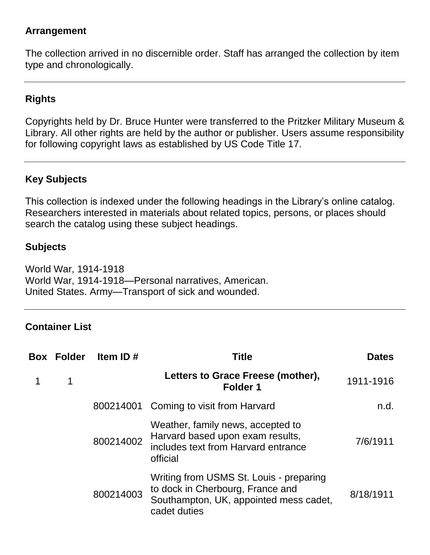### **Arrangement**

The collection arrived in no discernible order. Staff has arranged the collection by item type and chronologically.

# **Rights**

Copyrights held by Dr. Bruce Hunter were transferred to the Pritzker Military Museum & Library. All other rights are held by the author or publisher. Users assume responsibility for following copyright laws as established by US Code Title 17.

## **Key Subjects**

This collection is indexed under the following headings in the Library's online catalog. Researchers interested in materials about related topics, persons, or places should search the catalog using these subject headings.

### **Subjects**

World War, 1914-1918 World War, 1914-1918—Personal narratives, American. United States. Army—Transport of sick and wounded.

#### **Container List**

| <b>Box Folder</b> | Item ID#  | Title                                                                                                                                 | <b>Dates</b> |
|-------------------|-----------|---------------------------------------------------------------------------------------------------------------------------------------|--------------|
| 1                 |           | Letters to Grace Freese (mother),<br><b>Folder 1</b>                                                                                  | 1911-1916    |
|                   |           | 800214001 Coming to visit from Harvard                                                                                                | n.d.         |
|                   | 800214002 | Weather, family news, accepted to<br>Harvard based upon exam results,<br>includes text from Harvard entrance<br>official              | 7/6/1911     |
|                   | 800214003 | Writing from USMS St. Louis - preparing<br>to dock in Cherbourg, France and<br>Southampton, UK, appointed mess cadet,<br>cadet duties | 8/18/1911    |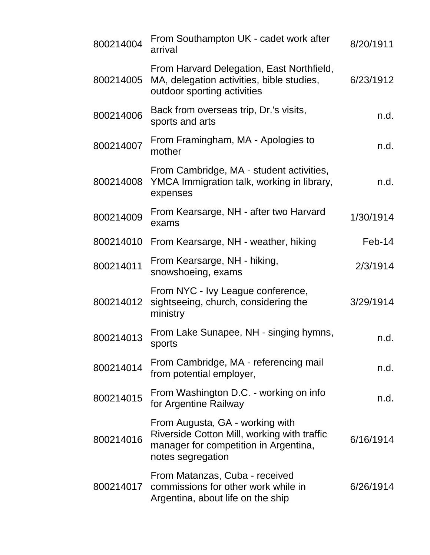| 800214004 | From Southampton UK - cadet work after<br>arrival                                                                                            | 8/20/1911 |
|-----------|----------------------------------------------------------------------------------------------------------------------------------------------|-----------|
| 800214005 | From Harvard Delegation, East Northfield,<br>MA, delegation activities, bible studies,<br>outdoor sporting activities                        | 6/23/1912 |
| 800214006 | Back from overseas trip, Dr.'s visits,<br>sports and arts                                                                                    | n.d.      |
| 800214007 | From Framingham, MA - Apologies to<br>mother                                                                                                 | n.d.      |
| 800214008 | From Cambridge, MA - student activities,<br>YMCA Immigration talk, working in library,<br>expenses                                           | n.d.      |
| 800214009 | From Kearsarge, NH - after two Harvard<br>exams                                                                                              | 1/30/1914 |
| 800214010 | From Kearsarge, NH - weather, hiking                                                                                                         | $Feb-14$  |
| 800214011 | From Kearsarge, NH - hiking,<br>snowshoeing, exams                                                                                           | 2/3/1914  |
| 800214012 | From NYC - Ivy League conference,<br>sightseeing, church, considering the<br>ministry                                                        | 3/29/1914 |
| 800214013 | From Lake Sunapee, NH - singing hymns,<br>sports                                                                                             | n.d.      |
| 800214014 | From Cambridge, MA - referencing mail<br>from potential employer,                                                                            | n.d.      |
| 800214015 | From Washington D.C. - working on info<br>for Argentine Railway                                                                              | n.d.      |
| 800214016 | From Augusta, GA - working with<br>Riverside Cotton Mill, working with traffic<br>manager for competition in Argentina,<br>notes segregation | 6/16/1914 |
| 800214017 | From Matanzas, Cuba - received<br>commissions for other work while in<br>Argentina, about life on the ship                                   | 6/26/1914 |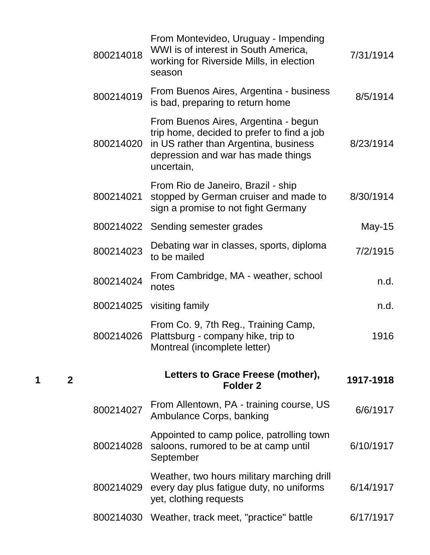| 800214018                                        | From Montevideo, Uruguay - Impending<br>WWI is of interest in South America,<br>working for Riverside Mills, in election<br>season                                              | 7/31/1914 |
|--------------------------------------------------|---------------------------------------------------------------------------------------------------------------------------------------------------------------------------------|-----------|
| 800214019                                        | From Buenos Aires, Argentina - business<br>is bad, preparing to return home                                                                                                     | 8/5/1914  |
| 800214020                                        | From Buenos Aires, Argentina - begun<br>trip home, decided to prefer to find a job<br>in US rather than Argentina, business<br>depression and war has made things<br>uncertain, | 8/23/1914 |
| 800214021                                        | From Rio de Janeiro, Brazil - ship<br>stopped by German cruiser and made to<br>sign a promise to not fight Germany                                                              | 8/30/1914 |
|                                                  | 800214022 Sending semester grades                                                                                                                                               | May-15    |
| 800214023                                        | Debating war in classes, sports, diploma<br>to be mailed                                                                                                                        | 7/2/1915  |
| 800214024                                        | From Cambridge, MA - weather, school<br>notes                                                                                                                                   | n.d.      |
| 800214025                                        | visiting family                                                                                                                                                                 | n.d.      |
| 800214026                                        | From Co. 9, 7th Reg., Training Camp,<br>Plattsburg - company hike, trip to<br>Montreal (incomplete letter)                                                                      | 1916      |
|                                                  | Letters to Grace Freese (mother),<br>Folder <sub>2</sub>                                                                                                                        | 1917-1918 |
| 800214027                                        | From Allentown, PA - training course, US<br>Ambulance Corps, banking                                                                                                            | 6/6/1917  |
| 800214028                                        | Appointed to camp police, patrolling town<br>saloons, rumored to be at camp until<br>September                                                                                  | 6/10/1917 |
| 800214029                                        | Weather, two hours military marching drill<br>every day plus fatigue duty, no uniforms<br>yet, clothing requests                                                                | 6/14/1917 |
| 800214030 Weather, track meet, "practice" battle |                                                                                                                                                                                 | 6/17/1917 |

**1 2**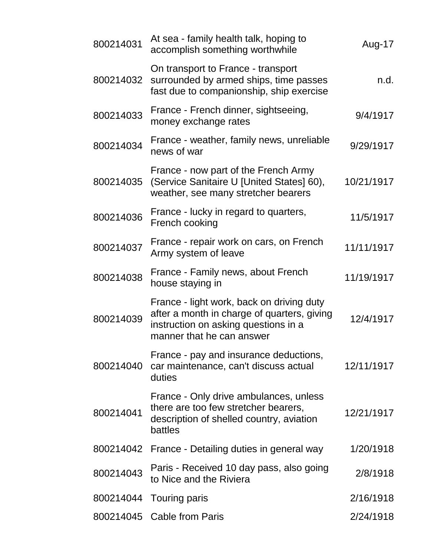| 800214031 | At sea - family health talk, hoping to<br>accomplish something worthwhile                                                                                     | Aug-17     |
|-----------|---------------------------------------------------------------------------------------------------------------------------------------------------------------|------------|
| 800214032 | On transport to France - transport<br>surrounded by armed ships, time passes<br>fast due to companionship, ship exercise                                      | n.d.       |
| 800214033 | France - French dinner, sightseeing,<br>money exchange rates                                                                                                  | 9/4/1917   |
| 800214034 | France - weather, family news, unreliable<br>news of war                                                                                                      | 9/29/1917  |
| 800214035 | France - now part of the French Army<br>(Service Sanitaire U [United States] 60),<br>weather, see many stretcher bearers                                      | 10/21/1917 |
| 800214036 | France - lucky in regard to quarters,<br>French cooking                                                                                                       | 11/5/1917  |
| 800214037 | France - repair work on cars, on French<br>Army system of leave                                                                                               | 11/11/1917 |
| 800214038 | France - Family news, about French<br>house staying in                                                                                                        | 11/19/1917 |
| 800214039 | France - light work, back on driving duty<br>after a month in charge of quarters, giving<br>instruction on asking questions in a<br>manner that he can answer | 12/4/1917  |
| 800214040 | France - pay and insurance deductions,<br>car maintenance, can't discuss actual<br>duties                                                                     | 12/11/1917 |
| 800214041 | France - Only drive ambulances, unless<br>there are too few stretcher bearers,<br>description of shelled country, aviation<br>battles                         | 12/21/1917 |
|           | 800214042 France - Detailing duties in general way                                                                                                            | 1/20/1918  |
| 800214043 | Paris - Received 10 day pass, also going<br>to Nice and the Riviera                                                                                           | 2/8/1918   |
|           | 800214044 Touring paris                                                                                                                                       | 2/16/1918  |
|           | 800214045 Cable from Paris                                                                                                                                    | 2/24/1918  |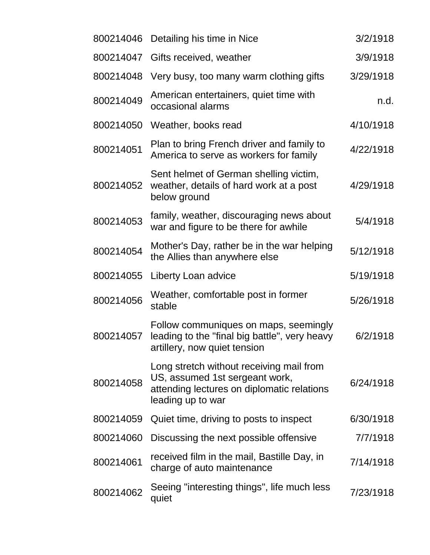|           | 800214046 Detailing his time in Nice                                                                                                          | 3/2/1918  |
|-----------|-----------------------------------------------------------------------------------------------------------------------------------------------|-----------|
| 800214047 | Gifts received, weather                                                                                                                       | 3/9/1918  |
| 800214048 | Very busy, too many warm clothing gifts                                                                                                       | 3/29/1918 |
| 800214049 | American entertainers, quiet time with<br>occasional alarms                                                                                   | n.d.      |
| 800214050 | Weather, books read                                                                                                                           | 4/10/1918 |
| 800214051 | Plan to bring French driver and family to<br>America to serve as workers for family                                                           | 4/22/1918 |
| 800214052 | Sent helmet of German shelling victim,<br>weather, details of hard work at a post<br>below ground                                             | 4/29/1918 |
| 800214053 | family, weather, discouraging news about<br>war and figure to be there for awhile                                                             | 5/4/1918  |
| 800214054 | Mother's Day, rather be in the war helping<br>the Allies than anywhere else                                                                   | 5/12/1918 |
| 800214055 | Liberty Loan advice                                                                                                                           | 5/19/1918 |
| 800214056 | Weather, comfortable post in former<br>stable                                                                                                 | 5/26/1918 |
| 800214057 | Follow communiques on maps, seemingly<br>leading to the "final big battle", very heavy<br>artillery, now quiet tension                        | 6/2/1918  |
| 800214058 | Long stretch without receiving mail from<br>US, assumed 1st sergeant work,<br>attending lectures on diplomatic relations<br>leading up to war | 6/24/1918 |
| 800214059 | Quiet time, driving to posts to inspect                                                                                                       | 6/30/1918 |
| 800214060 | Discussing the next possible offensive                                                                                                        | 7/7/1918  |
| 800214061 | received film in the mail, Bastille Day, in<br>charge of auto maintenance                                                                     | 7/14/1918 |
| 800214062 | Seeing "interesting things", life much less<br>quiet                                                                                          | 7/23/1918 |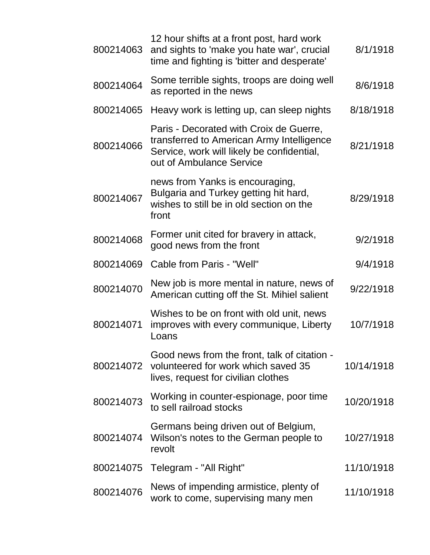| 800214063 | 12 hour shifts at a front post, hard work<br>and sights to 'make you hate war', crucial<br>time and fighting is 'bitter and desperate'                         | 8/1/1918   |
|-----------|----------------------------------------------------------------------------------------------------------------------------------------------------------------|------------|
| 800214064 | Some terrible sights, troops are doing well<br>as reported in the news                                                                                         | 8/6/1918   |
| 800214065 | Heavy work is letting up, can sleep nights                                                                                                                     | 8/18/1918  |
| 800214066 | Paris - Decorated with Croix de Guerre,<br>transferred to American Army Intelligence<br>Service, work will likely be confidential,<br>out of Ambulance Service | 8/21/1918  |
| 800214067 | news from Yanks is encouraging,<br>Bulgaria and Turkey getting hit hard,<br>wishes to still be in old section on the<br>front                                  | 8/29/1918  |
| 800214068 | Former unit cited for bravery in attack,<br>good news from the front                                                                                           | 9/2/1918   |
| 800214069 | Cable from Paris - "Well"                                                                                                                                      | 9/4/1918   |
| 800214070 | New job is more mental in nature, news of<br>American cutting off the St. Mihiel salient                                                                       | 9/22/1918  |
| 800214071 | Wishes to be on front with old unit, news<br>improves with every communique, Liberty<br>Loans                                                                  | 10/7/1918  |
| 800214072 | Good news from the front, talk of citation -<br>volunteered for work which saved 35<br>lives, request for civilian clothes                                     | 10/14/1918 |
| 800214073 | Working in counter-espionage, poor time<br>to sell railroad stocks                                                                                             | 10/20/1918 |
| 800214074 | Germans being driven out of Belgium,<br>Wilson's notes to the German people to<br>revolt                                                                       | 10/27/1918 |
| 800214075 | Telegram - "All Right"                                                                                                                                         | 11/10/1918 |
| 800214076 | News of impending armistice, plenty of<br>work to come, supervising many men                                                                                   | 11/10/1918 |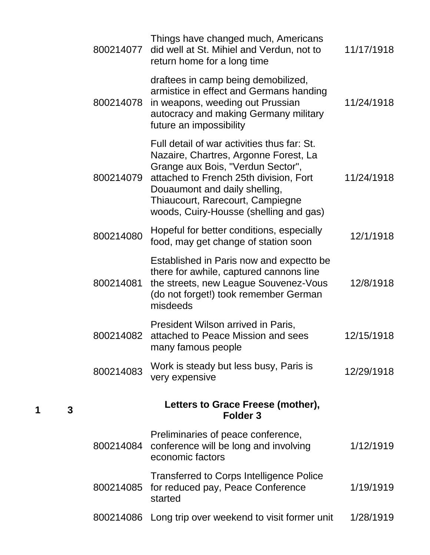| 800214077 | Things have changed much, Americans<br>did well at St. Mihiel and Verdun, not to<br>return home for a long time                                                                                                                                                                    | 11/17/1918 |
|-----------|------------------------------------------------------------------------------------------------------------------------------------------------------------------------------------------------------------------------------------------------------------------------------------|------------|
| 800214078 | draftees in camp being demobilized,<br>armistice in effect and Germans handing<br>in weapons, weeding out Prussian<br>autocracy and making Germany military<br>future an impossibility                                                                                             | 11/24/1918 |
| 800214079 | Full detail of war activities thus far: St.<br>Nazaire, Chartres, Argonne Forest, La<br>Grange aux Bois, "Verdun Sector",<br>attached to French 25th division, Fort<br>Douaumont and daily shelling,<br>Thiaucourt, Rarecourt, Campiegne<br>woods, Cuiry-Housse (shelling and gas) | 11/24/1918 |
| 800214080 | Hopeful for better conditions, especially<br>food, may get change of station soon                                                                                                                                                                                                  | 12/1/1918  |
| 800214081 | Established in Paris now and expectto be<br>there for awhile, captured cannons line<br>the streets, new League Souvenez-Vous<br>(do not forget!) took remember German<br>misdeeds                                                                                                  | 12/8/1918  |
| 800214082 | President Wilson arrived in Paris,<br>attached to Peace Mission and sees<br>many famous people                                                                                                                                                                                     | 12/15/1918 |
| 800214083 | Work is steady but less busy, Paris is<br>very expensive                                                                                                                                                                                                                           | 12/29/1918 |
|           | Letters to Grace Freese (mother),<br>Folder <sub>3</sub>                                                                                                                                                                                                                           |            |
| 800214084 | Preliminaries of peace conference,<br>conference will be long and involving<br>economic factors                                                                                                                                                                                    | 1/12/1919  |
| 800214085 | <b>Transferred to Corps Intelligence Police</b><br>for reduced pay, Peace Conference<br>started                                                                                                                                                                                    | 1/19/1919  |
| 800214086 | Long trip over weekend to visit former unit                                                                                                                                                                                                                                        | 1/28/1919  |

**1 3**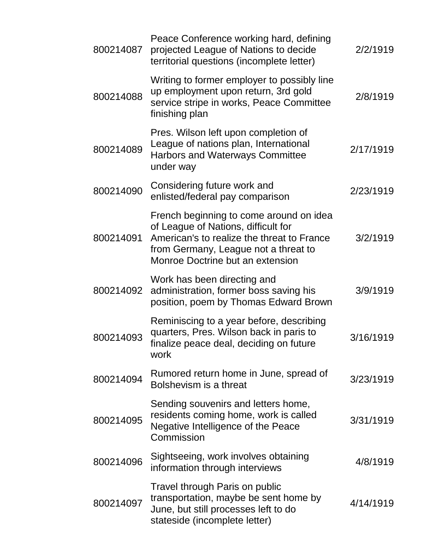| 800214087 | Peace Conference working hard, defining<br>projected League of Nations to decide<br>territorial questions (incomplete letter)                                                                            | 2/2/1919  |
|-----------|----------------------------------------------------------------------------------------------------------------------------------------------------------------------------------------------------------|-----------|
| 800214088 | Writing to former employer to possibly line<br>up employment upon return, 3rd gold<br>service stripe in works, Peace Committee<br>finishing plan                                                         | 2/8/1919  |
| 800214089 | Pres. Wilson left upon completion of<br>League of nations plan, International<br><b>Harbors and Waterways Committee</b><br>under way                                                                     | 2/17/1919 |
| 800214090 | Considering future work and<br>enlisted/federal pay comparison                                                                                                                                           | 2/23/1919 |
| 800214091 | French beginning to come around on idea<br>of League of Nations, difficult for<br>American's to realize the threat to France<br>from Germany, League not a threat to<br>Monroe Doctrine but an extension | 3/2/1919  |
| 800214092 | Work has been directing and<br>administration, former boss saving his<br>position, poem by Thomas Edward Brown                                                                                           | 3/9/1919  |
| 800214093 | Reminiscing to a year before, describing<br>quarters, Pres. Wilson back in paris to<br>finalize peace deal, deciding on future<br>work                                                                   | 3/16/1919 |
| 800214094 | Rumored return home in June, spread of<br>Bolshevism is a threat                                                                                                                                         | 3/23/1919 |
| 800214095 | Sending souvenirs and letters home,<br>residents coming home, work is called<br>Negative Intelligence of the Peace<br>Commission                                                                         | 3/31/1919 |
| 800214096 | Sightseeing, work involves obtaining<br>information through interviews                                                                                                                                   | 4/8/1919  |
| 800214097 | Travel through Paris on public<br>transportation, maybe be sent home by<br>June, but still processes left to do<br>stateside (incomplete letter)                                                         | 4/14/1919 |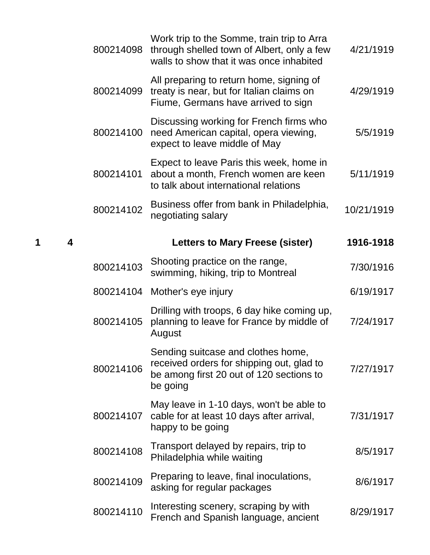| 800214098 | Work trip to the Somme, train trip to Arra<br>through shelled town of Albert, only a few<br>walls to show that it was once inhabited    | 4/21/1919  |
|-----------|-----------------------------------------------------------------------------------------------------------------------------------------|------------|
| 800214099 | All preparing to return home, signing of<br>treaty is near, but for Italian claims on<br>Fiume, Germans have arrived to sign            | 4/29/1919  |
| 800214100 | Discussing working for French firms who<br>need American capital, opera viewing,<br>expect to leave middle of May                       | 5/5/1919   |
| 800214101 | Expect to leave Paris this week, home in<br>about a month, French women are keen<br>to talk about international relations               | 5/11/1919  |
| 800214102 | Business offer from bank in Philadelphia,<br>negotiating salary                                                                         | 10/21/1919 |
|           | <b>Letters to Mary Freese (sister)</b>                                                                                                  | 1916-1918  |
| 800214103 | Shooting practice on the range,<br>swimming, hiking, trip to Montreal                                                                   | 7/30/1916  |
|           | 800214104 Mother's eye injury                                                                                                           | 6/19/1917  |
| 800214105 | Drilling with troops, 6 day hike coming up,<br>planning to leave for France by middle of<br>August                                      | 7/24/1917  |
| 800214106 | Sending suitcase and clothes home,<br>received orders for shipping out, glad to<br>be among first 20 out of 120 sections to<br>be going | 7/27/1917  |
| 800214107 | May leave in 1-10 days, won't be able to<br>cable for at least 10 days after arrival,<br>happy to be going                              | 7/31/1917  |
| 800214108 | Transport delayed by repairs, trip to<br>Philadelphia while waiting                                                                     | 8/5/1917   |
| 800214109 | Preparing to leave, final inoculations,<br>asking for regular packages                                                                  | 8/6/1917   |
| 800214110 | Interesting scenery, scraping by with<br>French and Spanish language, ancient                                                           | 8/29/1917  |

**1 4 Letters to Mary Freese (sister) 1916-1918**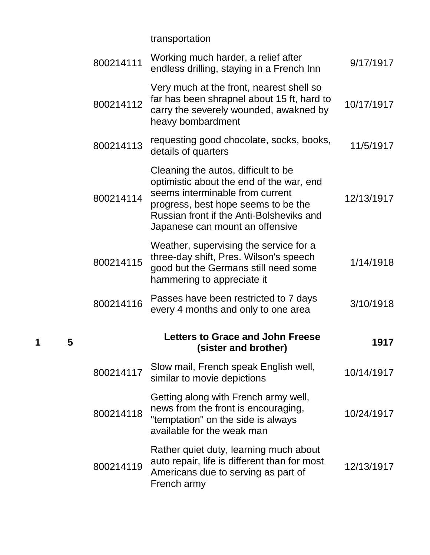transportation

**1 5**

| 800214111 | Working much harder, a relief after<br>endless drilling, staying in a French Inn                                                                                                                                                         | 9/17/1917  |
|-----------|------------------------------------------------------------------------------------------------------------------------------------------------------------------------------------------------------------------------------------------|------------|
| 800214112 | Very much at the front, nearest shell so<br>far has been shrapnel about 15 ft, hard to<br>carry the severely wounded, awakned by<br>heavy bombardment                                                                                    | 10/17/1917 |
| 800214113 | requesting good chocolate, socks, books,<br>details of quarters                                                                                                                                                                          | 11/5/1917  |
| 800214114 | Cleaning the autos, difficult to be<br>optimistic about the end of the war, end<br>seems interminable from current<br>progress, best hope seems to be the<br>Russian front if the Anti-Bolsheviks and<br>Japanese can mount an offensive | 12/13/1917 |
| 800214115 | Weather, supervising the service for a<br>three-day shift, Pres. Wilson's speech<br>good but the Germans still need some<br>hammering to appreciate it                                                                                   | 1/14/1918  |
| 800214116 | Passes have been restricted to 7 days<br>every 4 months and only to one area                                                                                                                                                             | 3/10/1918  |
|           | <b>Letters to Grace and John Freese</b><br>(sister and brother)                                                                                                                                                                          | 1917       |
| 800214117 | Slow mail, French speak English well,<br>similar to movie depictions                                                                                                                                                                     | 10/14/1917 |
| 800214118 | Getting along with French army well,<br>news from the front is encouraging,<br>"temptation" on the side is always<br>available for the weak man                                                                                          | 10/24/1917 |
| 800214119 | Rather quiet duty, learning much about<br>auto repair, life is different than for most<br>Americans due to serving as part of<br>French army                                                                                             | 12/13/1917 |